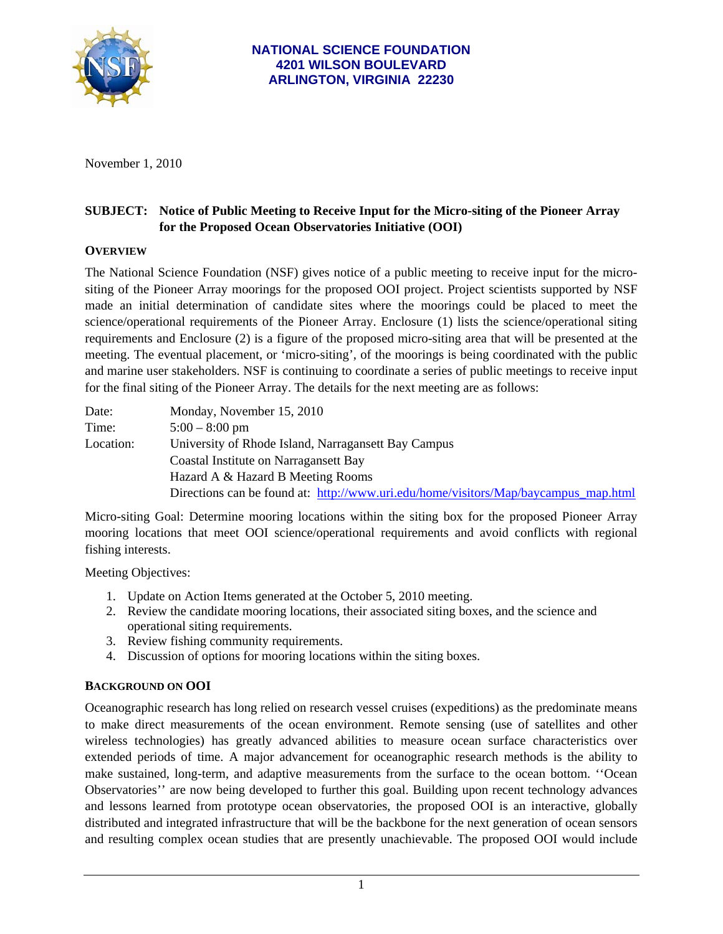

November 1, 2010

# **SUBJECT: Notice of Public Meeting to Receive Input for the Micro-siting of the Pioneer Array for the Proposed Ocean Observatories Initiative (OOI)**

## **OVERVIEW**

The National Science Foundation (NSF) gives notice of a public meeting to receive input for the micrositing of the Pioneer Array moorings for the proposed OOI project. Project scientists supported by NSF made an initial determination of candidate sites where the moorings could be placed to meet the science/operational requirements of the Pioneer Array. Enclosure (1) lists the science/operational siting requirements and Enclosure (2) is a figure of the proposed micro-siting area that will be presented at the meeting. The eventual placement, or 'micro-siting', of the moorings is being coordinated with the public and marine user stakeholders. NSF is continuing to coordinate a series of public meetings to receive input for the final siting of the Pioneer Array. The details for the next meeting are as follows:

| Date:     | Monday, November 15, 2010                                                           |
|-----------|-------------------------------------------------------------------------------------|
| Time:     | $5:00 - 8:00$ pm                                                                    |
| Location: | University of Rhode Island, Narragansett Bay Campus                                 |
|           | Coastal Institute on Narragansett Bay                                               |
|           | Hazard A & Hazard B Meeting Rooms                                                   |
|           | Directions can be found at: http://www.uri.edu/home/visitors/Map/baycampus_map.html |

Micro-siting Goal: Determine mooring locations within the siting box for the proposed Pioneer Array mooring locations that meet OOI science/operational requirements and avoid conflicts with regional fishing interests.

Meeting Objectives:

- 1. Update on Action Items generated at the October 5, 2010 meeting.
- 2. Review the candidate mooring locations, their associated siting boxes, and the science and operational siting requirements.
- 3. Review fishing community requirements.
- 4. Discussion of options for mooring locations within the siting boxes.

## **BACKGROUND ON OOI**

Oceanographic research has long relied on research vessel cruises (expeditions) as the predominate means to make direct measurements of the ocean environment. Remote sensing (use of satellites and other wireless technologies) has greatly advanced abilities to measure ocean surface characteristics over extended periods of time. A major advancement for oceanographic research methods is the ability to make sustained, long-term, and adaptive measurements from the surface to the ocean bottom. ''Ocean Observatories'' are now being developed to further this goal. Building upon recent technology advances and lessons learned from prototype ocean observatories, the proposed OOI is an interactive, globally distributed and integrated infrastructure that will be the backbone for the next generation of ocean sensors and resulting complex ocean studies that are presently unachievable. The proposed OOI would include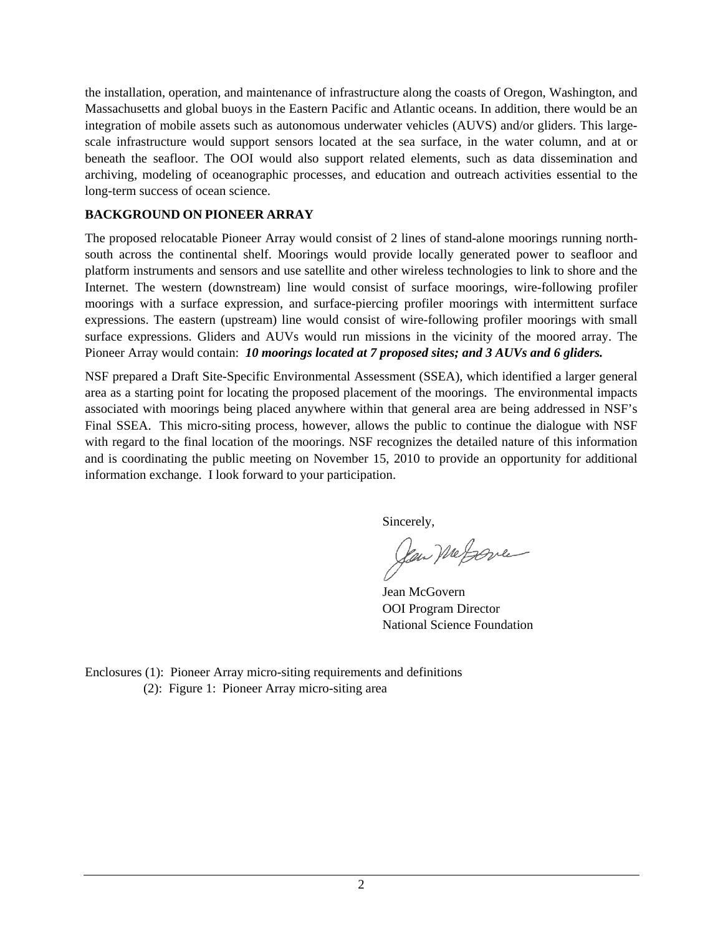the installation, operation, and maintenance of infrastructure along the coasts of Oregon, Washington, and Massachusetts and global buoys in the Eastern Pacific and Atlantic oceans. In addition, there would be an integration of mobile assets such as autonomous underwater vehicles (AUVS) and/or gliders. This largescale infrastructure would support sensors located at the sea surface, in the water column, and at or beneath the seafloor. The OOI would also support related elements, such as data dissemination and archiving, modeling of oceanographic processes, and education and outreach activities essential to the long-term success of ocean science.

## **BACKGROUND ON PIONEER ARRAY**

The proposed relocatable Pioneer Array would consist of 2 lines of stand-alone moorings running northsouth across the continental shelf. Moorings would provide locally generated power to seafloor and platform instruments and sensors and use satellite and other wireless technologies to link to shore and the Internet. The western (downstream) line would consist of surface moorings, wire-following profiler moorings with a surface expression, and surface-piercing profiler moorings with intermittent surface expressions. The eastern (upstream) line would consist of wire-following profiler moorings with small surface expressions. Gliders and AUVs would run missions in the vicinity of the moored array. The Pioneer Array would contain: *10 moorings located at 7 proposed sites; and 3 AUVs and 6 gliders.*

NSF prepared a Draft Site-Specific Environmental Assessment (SSEA), which identified a larger general area as a starting point for locating the proposed placement of the moorings. The environmental impacts associated with moorings being placed anywhere within that general area are being addressed in NSF's Final SSEA. This micro-siting process, however, allows the public to continue the dialogue with NSF with regard to the final location of the moorings. NSF recognizes the detailed nature of this information and is coordinating the public meeting on November 15, 2010 to provide an opportunity for additional information exchange. I look forward to your participation.

Sincerely,

Jan Metsove

 Jean McGovern OOI Program Director National Science Foundation

Enclosures (1): Pioneer Array micro-siting requirements and definitions (2): Figure 1: Pioneer Array micro-siting area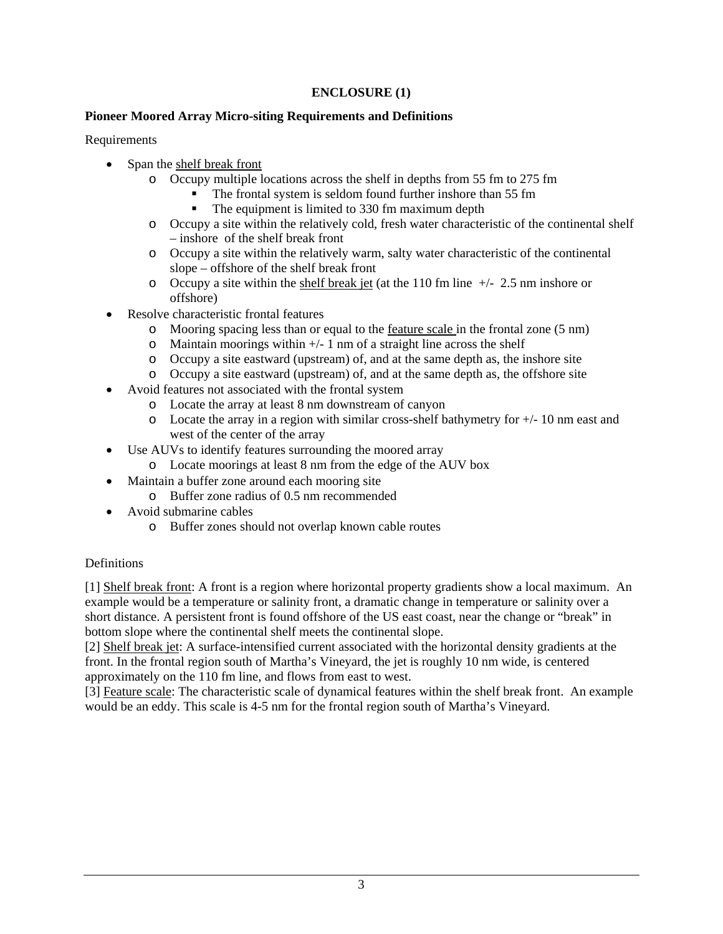# **ENCLOSURE (1)**

#### **Pioneer Moored Array Micro-siting Requirements and Definitions**

Requirements

- Span the shelf break front
	- o Occupy multiple locations across the shelf in depths from 55 fm to 275 fm
		- The frontal system is seldom found further inshore than 55 fm
		- The equipment is limited to 330 fm maximum depth
	- o Occupy a site within the relatively cold, fresh water characteristic of the continental shelf – inshore of the shelf break front
	- o Occupy a site within the relatively warm, salty water characteristic of the continental slope – offshore of the shelf break front
	- $\circ$  Occupy a site within the shelf break jet (at the 110 fm line  $+/-$  2.5 nm inshore or offshore)
- Resolve characteristic frontal features
	- o Mooring spacing less than or equal to the feature scale in the frontal zone (5 nm)
	- $\circ$  Maintain moorings within  $+/- 1$  nm of a straight line across the shelf
	- o Occupy a site eastward (upstream) of, and at the same depth as, the inshore site
	- o Occupy a site eastward (upstream) of, and at the same depth as, the offshore site
- Avoid features not associated with the frontal system
	- o Locate the array at least 8 nm downstream of canyon
	- $\circ$  Locate the array in a region with similar cross-shelf bathymetry for  $+/-10$  nm east and west of the center of the array
- Use AUVs to identify features surrounding the moored array
	- o Locate moorings at least 8 nm from the edge of the AUV box
- Maintain a buffer zone around each mooring site
	- $\circ$  Buffer zone radius of 0.5 nm recommended
- Avoid submarine cables
	- o Buffer zones should not overlap known cable routes

#### **Definitions**

[1] Shelf break front: A front is a region where horizontal property gradients show a local maximum. An example would be a temperature or salinity front, a dramatic change in temperature or salinity over a short distance. A persistent front is found offshore of the US east coast, near the change or "break" in bottom slope where the continental shelf meets the continental slope.

[2] Shelf break jet: A surface-intensified current associated with the horizontal density gradients at the front. In the frontal region south of Martha's Vineyard, the jet is roughly 10 nm wide, is centered approximately on the 110 fm line, and flows from east to west.

[3] Feature scale: The characteristic scale of dynamical features within the shelf break front. An example would be an eddy. This scale is 4-5 nm for the frontal region south of Martha's Vineyard.